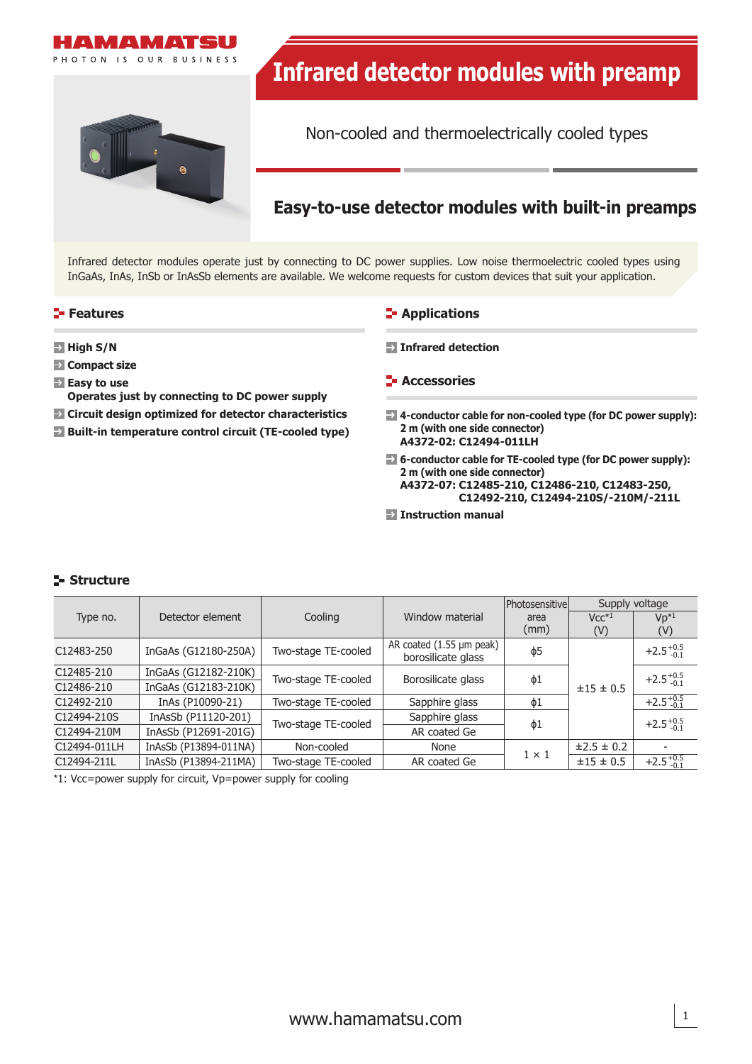

Infrared detector modules operate just by connecting to DC power supplies. Low noise thermoelectric cooled types using InGaAs, InAs, InSb or InAsSb elements are available. We welcome requests for custom devices that suit your application.

## **Features**

- **High S/N**
- **Compact size**
- **Easy to use**
- **Operates just by connecting to DC power supply**
- **Circuit design optimized for detector characteristics**
- **Built-in temperature control circuit (TE-cooled type)**

#### **E-** Applications

- **Infrared detection**
- **F** Accessories
- **4-conductor cable for non-cooled type (for DC power supply): 2 m (with one side connector) A4372-02: C12494-011LH**
- **6-conductor cable for TE-cooled type (for DC power supply): 2 m (with one side connector) A4372-07: C12485-210, C12486-210, C12483-250, C12492-210, C12494-210S/-210M/-211L**
- **Instruction manual**

# **Structure**

|              |                       |                     |                                                | <b>Photosensitive</b> | Supply voltage |                      |
|--------------|-----------------------|---------------------|------------------------------------------------|-----------------------|----------------|----------------------|
| Type no.     | Detector element      | Cooling             | Window material                                | area                  | $Vcc^{*1}$     | $Vp^{*1}$            |
|              |                       |                     |                                                | (mm)                  | (V)            | (V)                  |
| C12483-250   | InGaAs (G12180-250A)  | Two-stage TE-cooled | AR coated (1.55 µm peak)<br>borosilicate glass | $\phi$ 5              | ±15 ± 0.5      | $+2.5^{+0.5}_{-0.1}$ |
| C12485-210   | InGaAs (G12182-210K)  | Two-stage TE-cooled | Borosilicate glass                             | $\phi$ 1              |                | $+2.5^{+0.5}_{-0.1}$ |
| C12486-210   | InGaAs (G12183-210K)  |                     |                                                |                       |                |                      |
| C12492-210   | InAs (P10090-21)      | Two-stage TE-cooled | Sapphire glass                                 | $\phi$ 1              |                | $+2.5^{+0.5}_{-0.1}$ |
| C12494-210S  | InAsSb (P11120-201)   | Two-stage TE-cooled | Sapphire glass                                 |                       |                | $+2.5^{+0.5}_{-0.1}$ |
| C12494-210M  | InAsSb (P12691-201G)  |                     | AR coated Ge                                   | φ1                    |                |                      |
| C12494-011LH | InAsSb (P13894-011NA) | Non-cooled          | None                                           | $1 \times 1$          | ±2.5 ± 0.2     |                      |
| C12494-211L  | InAsSb (P13894-211MA) | Two-stage TE-cooled | AR coated Ge                                   |                       | ±15 ± 0.5      | $+2.5^{+0.5}_{-0.1}$ |

\*1: Vcc=power supply for circuit, Vp=power supply for cooling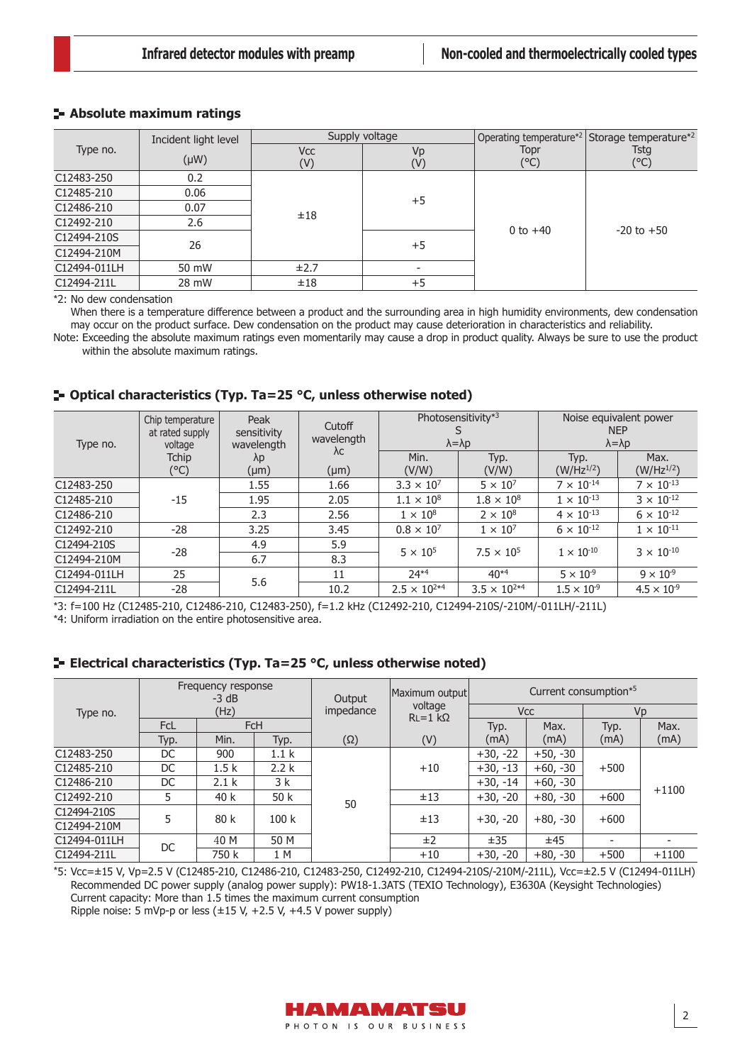# **Absolute maximum ratings**

|              | Incident light level |                   | Supply voltage       |              | Operating temperature <sup>*2</sup> Storage temperature <sup>*2</sup><br><b>Tstg</b><br>$(^{\circ}C)$ |  |
|--------------|----------------------|-------------------|----------------------|--------------|-------------------------------------------------------------------------------------------------------|--|
| Type no.     | $(\mu W)$            | <b>Vcc</b><br>(V) | Vp<br>$(\mathsf{V})$ | Topr<br>(°C) |                                                                                                       |  |
| C12483-250   | 0.2                  |                   |                      |              |                                                                                                       |  |
| C12485-210   | 0.06                 |                   |                      |              |                                                                                                       |  |
| C12486-210   | 0.07                 | ±18               | $+5$                 |              | $-20$ to $+50$                                                                                        |  |
| C12492-210   | 2.6                  |                   |                      | 0 to $+40$   |                                                                                                       |  |
| C12494-210S  | 26                   |                   | $+5$                 |              |                                                                                                       |  |
| C12494-210M  |                      |                   |                      |              |                                                                                                       |  |
| C12494-011LH | 50 mW                | ±2.7              |                      |              |                                                                                                       |  |
| C12494-211L  | 28 mW                | ±18               | $+5$                 |              |                                                                                                       |  |

\*2: No dew condensation

When there is a temperature difference between a product and the surrounding area in high humidity environments, dew condensation may occur on the product surface. Dew condensation on the product may cause deterioration in characteristics and reliability.

Note: Exceeding the absolute maximum ratings even momentarily may cause a drop in product quality. Always be sure to use the product within the absolute maximum ratings.

# **Optical characteristics (Typ. Ta=25 °C, unless otherwise noted)**

| Type no.     | Chip temperature<br>at rated supply<br>voltage | Peak<br>sensitivity | Cutoff<br>wavelength<br>wavelength<br>$\lambda c$<br>λp | Photosensitivity*3<br>$\lambda = \lambda p$ |                       | Noise equivalent power<br><b>NEP</b><br>$\lambda = \lambda p$ |                      |  |
|--------------|------------------------------------------------|---------------------|---------------------------------------------------------|---------------------------------------------|-----------------------|---------------------------------------------------------------|----------------------|--|
|              | <b>Tchip</b>                                   |                     |                                                         | Min.                                        | Typ.                  | Typ.                                                          | Max.                 |  |
|              | (°C)                                           | $(\mu m)$           | $(\mu m)$                                               | (V/W)                                       | (V/W)                 | $(W/Hz^{1/2})$                                                | $(W/Hz^{1/2})$       |  |
| C12483-250   |                                                | 1.55                | 1.66                                                    | $3.3 \times 10^{7}$                         | $5 \times 10^7$       | $7 \times 10^{-14}$                                           | $7 \times 10^{-13}$  |  |
| C12485-210   | $-15$                                          | 1.95                | 2.05                                                    | $1.1 \times 10^{8}$                         | $1.8 \times 10^{8}$   | $1 \times 10^{-13}$                                           | $3 \times 10^{-12}$  |  |
| C12486-210   |                                                | 2.3                 | 2.56                                                    | $1 \times 10^8$                             | $2 \times 10^8$       | $4 \times 10^{-13}$                                           | $6 \times 10^{-12}$  |  |
| C12492-210   | -28                                            | 3.25                | 3.45                                                    | $0.8 \times 10^{7}$                         | $1 \times 10^7$       | $6 \times 10^{-12}$                                           | $1 \times 10^{-11}$  |  |
| C12494-210S  |                                                | 4.9                 | 5.9                                                     | $5 \times 10^5$                             | $7.5 \times 10^{5}$   | $1 \times 10^{-10}$                                           | $3 \times 10^{-10}$  |  |
| C12494-210M  | -28                                            | 6.7                 | 8.3                                                     |                                             |                       |                                                               |                      |  |
| C12494-011LH | 25                                             | 5.6                 | 11                                                      | $74*4$                                      | $40*4$                | $5 \times 10^{-9}$                                            | $9 \times 10^{-9}$   |  |
| C12494-211L  | $-28$                                          |                     | 10.2                                                    | $2.5 \times 10^{2*4}$                       | $3.5 \times 10^{2*4}$ | $1.5 \times 10^{-9}$                                          | $4.5 \times 10^{-9}$ |  |

\*3: f=100 Hz (C12485-210, C12486-210, C12483-250), f=1.2 kHz (C12492-210, C12494-210S/-210M/-011LH/-211L)

\*4: Uniform irradiation on the entire photosensitive area.

## **E** Electrical characteristics (Typ. Ta=25 °C, unless otherwise noted)

| Type no.     | Frequency response<br>$-3 dB$ |                  | Output<br>impedance | Maximum output<br>voltage<br>$RL = 1 k\Omega$ | Current consumption*5 |            |            |        |         |
|--------------|-------------------------------|------------------|---------------------|-----------------------------------------------|-----------------------|------------|------------|--------|---------|
|              | (Hz)                          |                  |                     |                                               | <b>V<sub>CC</sub></b> |            | Vp         |        |         |
|              | <b>FcL</b>                    | <b>FcH</b>       |                     |                                               |                       | Typ.       | Max.       | Typ.   | Max.    |
|              | Typ.                          | Min.             | Typ.                | $(\Omega)$                                    | (V)                   | (mA)       | (mA)       | (mA)   | (mA)    |
| C12483-250   | DC                            | 900              | 1.1 <sub>k</sub>    | 50                                            |                       | $+30, -22$ | $+50, -30$ | $+500$ | $+1100$ |
| C12485-210   | DC                            | 1.5k             | 2.2k                |                                               | $+10$                 | $+30, -13$ | $+60, -30$ |        |         |
| C12486-210   | DC                            | 2.1 <sub>k</sub> | 3 k                 |                                               |                       | $+30, -14$ | $+60, -30$ |        |         |
| C12492-210   | 5                             | 40 k             | 50 k                |                                               | ±13                   | $+30, -20$ | $+80, -30$ | $+600$ |         |
| C12494-210S  |                               | 80 k             | 100k                |                                               | ±13                   | $+30, -20$ | $+80, -30$ | $+600$ |         |
| C12494-210M  |                               |                  |                     |                                               |                       |            |            |        |         |
| C12494-011LH | DC                            | 40 M             | 50 M                |                                               | ±2                    | ±35        | ±45        |        |         |
| C12494-211L  |                               | 750 k            | 1 M                 |                                               | $+10$                 | $+30, -20$ | $+80, -30$ | $+500$ | $+1100$ |

\*5: Vcc=±15 V, Vp=2.5 V (C12485-210, C12486-210, C12483-250, C12492-210, C12494-210S/-210M/-211L), Vcc=±2.5 V (C12494-011LH) Recommended DC power supply (analog power supply): PW18-1.3ATS (TEXIO Technology), E3630A (Keysight Technologies) Current capacity: More than 1.5 times the maximum current consumption Ripple noise: 5 mVp-p or less  $(\pm 15 \text{ V}, +2.5 \text{ V}, +4.5 \text{ V}$  power supply)

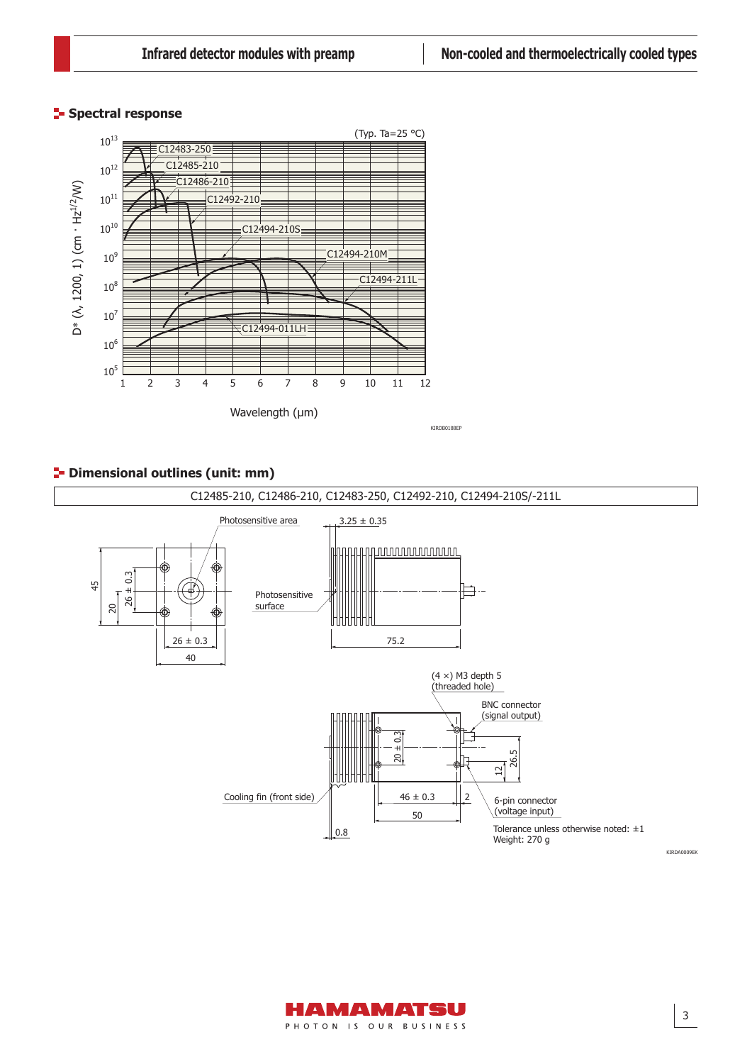# **Spectral response**



# **<sup>1</sup>** Dimensional outlines (unit: mm)



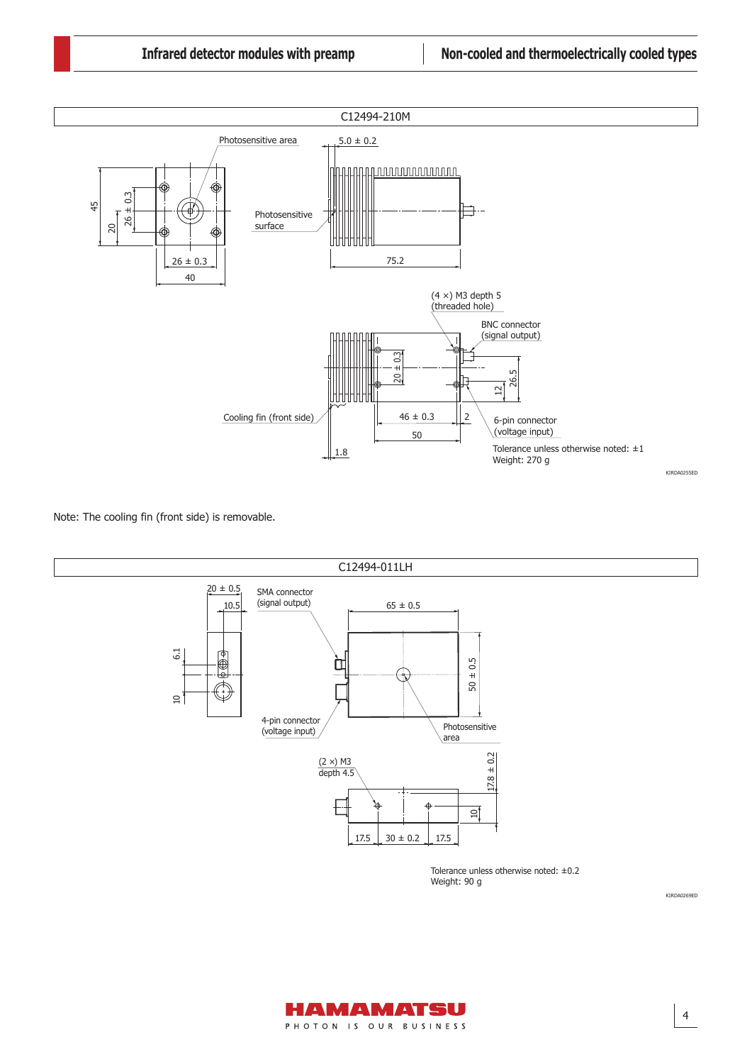

Note: The cooling fin (front side) is removable.



Weight: 90 g

KIRDA0269ED

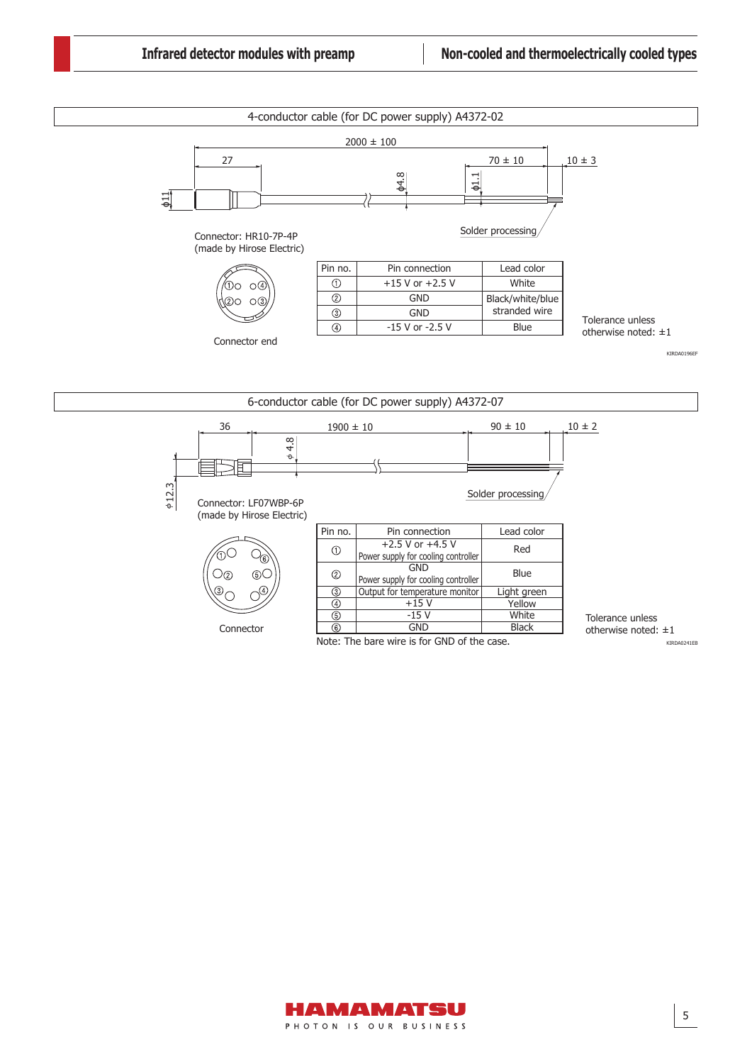